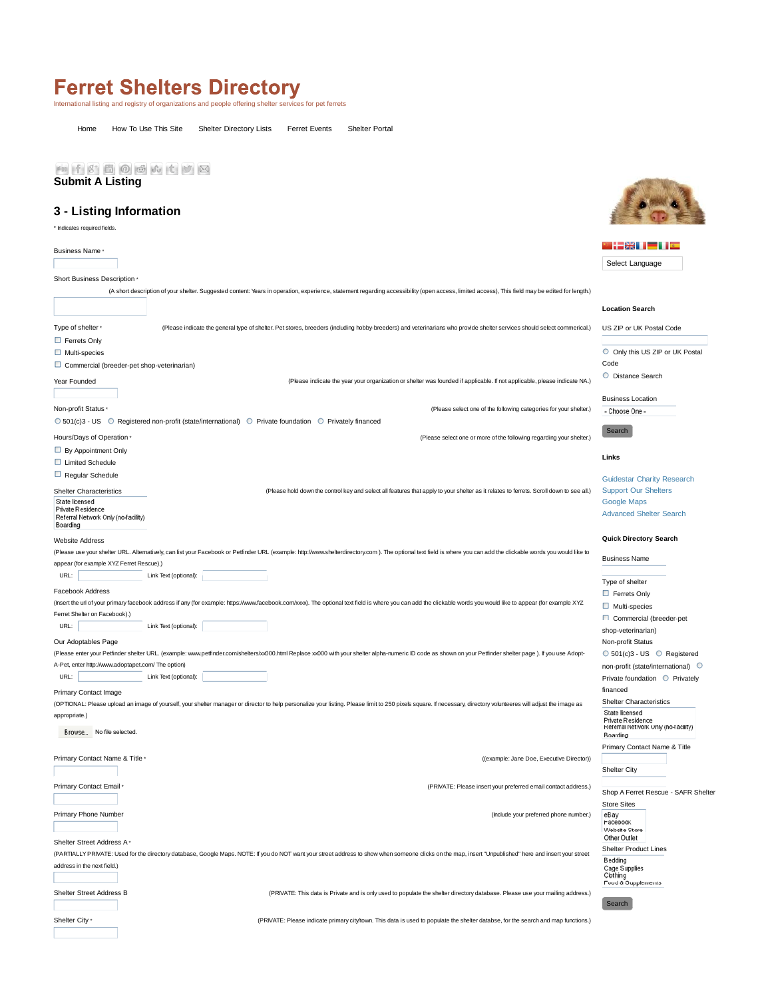## International listing and registry of organizations and people offering shelter services for pet ferrets

Home How To Use This Site Shelter Directory Lists Ferret Events Shelter Portal

## **Submit A Listing**

## **3 - Listing Information**

\* Indicates required fields.

|                                                                                                                                                                                                                                                   | 723 I M                                                                                |
|---------------------------------------------------------------------------------------------------------------------------------------------------------------------------------------------------------------------------------------------------|----------------------------------------------------------------------------------------|
| <b>Business Name</b>                                                                                                                                                                                                                              |                                                                                        |
|                                                                                                                                                                                                                                                   | Select Language                                                                        |
| Short Business Description *                                                                                                                                                                                                                      |                                                                                        |
| (A short description of your shelter. Suggested content: Years in operation, experience, statement regarding accessibility (open access, limited access), This field may be edited for length.)                                                   |                                                                                        |
|                                                                                                                                                                                                                                                   | <b>Location Search</b>                                                                 |
| Type of shelter *<br>(Please indicate the general type of shelter. Pet stores, breeders (including hobby-breeders) and veterinarians who provide shelter services should select commerical.)                                                      | US ZIP or UK Postal Code                                                               |
| Ferrets Only                                                                                                                                                                                                                                      |                                                                                        |
| $\Box$ Multi-species                                                                                                                                                                                                                              | O Only this US ZIP or UK Postal                                                        |
| Commercial (breeder-pet shop-veterinarian)                                                                                                                                                                                                        | Code                                                                                   |
| Year Founded<br>(Please indicate the year your organization or shelter was founded if applicable. If not applicable, please indicate NA.)                                                                                                         | O Distance Search                                                                      |
|                                                                                                                                                                                                                                                   |                                                                                        |
| Non-profit Status ·<br>(Please select one of the following categories for your shelter.)                                                                                                                                                          | <b>Business Location</b><br>- Choose One -                                             |
| ○ 501(c)3 - US ○ Registered non-profit (state/international) ○ Private foundation ○ Privately financed                                                                                                                                            |                                                                                        |
|                                                                                                                                                                                                                                                   | Search                                                                                 |
| Hours/Days of Operation ·<br>(Please select one or more of the following regarding your shelter.)                                                                                                                                                 |                                                                                        |
| By Appointment Only                                                                                                                                                                                                                               | Links                                                                                  |
| Limited Schedule                                                                                                                                                                                                                                  |                                                                                        |
| $\Box$ Regular Schedule<br><b>Shelter Characteristics</b><br>(Please hold down the control key and select all features that apply to your shelter as it relates to ferrets. Scroll down to see all.)                                              | <b>Guidestar Charity Research</b>                                                      |
|                                                                                                                                                                                                                                                   | <b>Support Our Shelters</b>                                                            |
| State licensed<br>Private Residence                                                                                                                                                                                                               | Google Maps                                                                            |
| Referral Network Only (no-facility)                                                                                                                                                                                                               | <b>Advanced Shelter Search</b>                                                         |
| Boarding                                                                                                                                                                                                                                          |                                                                                        |
| <b>Website Address</b>                                                                                                                                                                                                                            | <b>Quick Directory Search</b>                                                          |
| (Please use your shelter URL. Alternatively, can list your Facebook or Petfinder URL (example: http://www.shelterdirectory.com). The optional text field is where you can add the clickable words you would like to                               | <b>Business Name</b>                                                                   |
| appear (for example XYZ Ferret Rescue).)                                                                                                                                                                                                          |                                                                                        |
| URL:<br>Link Text (optional):                                                                                                                                                                                                                     | Type of shelter                                                                        |
| Facebook Address                                                                                                                                                                                                                                  | Ferrets Only                                                                           |
| (Insert the url of your primary facebook address if any (for example: https://www.facebook.com/xxxx). The optional text field is where you can add the clickable words you would like to appear (for example XYZ<br>Ferret Shelter on Facebook).) | $\Box$ Multi-species                                                                   |
|                                                                                                                                                                                                                                                   | Commercial (breeder-pet                                                                |
| URL:<br>Link Text (optional):                                                                                                                                                                                                                     | shop-veterinarian)                                                                     |
| Our Adoptables Page                                                                                                                                                                                                                               | Non-profit Status                                                                      |
| (Please enter your Petfinder shelter URL. (example: www.petfinder.com/shelters/xx000.html Replace xx000 with your shelter alpha-numeric ID code as shown on your Petfinder shelter page). If you use Adopt-                                       | ○ 501(c)3 - US ● Registered                                                            |
| A-Pet, enter http://www.adoptapet.com/ The option)                                                                                                                                                                                                | non-profit (state/international)                                                       |
| Link Text (optional):<br>URL:                                                                                                                                                                                                                     | Private foundation Privately                                                           |
| Primary Contact Image                                                                                                                                                                                                                             | financed                                                                               |
| (OPTIONAL: Please upload an image of yourself, your shelter manager or director to help personalize your listing. Please limit to 250 pixels square. If necessary, directory volunteeres will adjust the image as                                 | <b>Shelter Characteristics</b>                                                         |
| appropriate.)<br>Browse No file selected.                                                                                                                                                                                                         | State licensed<br>Private Residence<br>Referral Network Only (no-facility)<br>Boarding |
|                                                                                                                                                                                                                                                   | Primary Contact Name & Title                                                           |
| ((example: Jane Doe, Executive Director))<br>Primary Contact Name & Title *                                                                                                                                                                       |                                                                                        |
|                                                                                                                                                                                                                                                   | <b>Shelter City</b>                                                                    |
|                                                                                                                                                                                                                                                   |                                                                                        |
| Primary Contact Email +<br>(PRIVATE: Please insert your preferred email contact address.)                                                                                                                                                         | Shop A Ferret Rescue - SAFR Shelter                                                    |
|                                                                                                                                                                                                                                                   | <b>Store Sites</b>                                                                     |
| Primary Phone Number<br>(Include your preferred phone number.)                                                                                                                                                                                    | eBay<br>Facebook                                                                       |
|                                                                                                                                                                                                                                                   | Website Store                                                                          |
| Shelter Street Address A                                                                                                                                                                                                                          | Other Outlet                                                                           |
| (PARTIALLY PRIVATE: Used for the directory database, Google Maps. NOTE: If you do NOT want your street address to show when someone clicks on the map, insert "Unpublished" here and insert your street                                           | <b>Shelter Product Lines</b>                                                           |
| address in the next field.)                                                                                                                                                                                                                       | Bedding<br>Cage Supplies                                                               |
|                                                                                                                                                                                                                                                   | Clothing<br>Food & Supplements                                                         |
| Shelter Street Address B<br>(PRIVATE: This data is Private and is only used to populate the shelter directory database. Please use your mailing address.)                                                                                         |                                                                                        |
|                                                                                                                                                                                                                                                   | Search                                                                                 |
|                                                                                                                                                                                                                                                   |                                                                                        |

Shelter City \*

(PRIVATE: Please indicate primary city/town. This data is used to populate the shelter databse, for the search and map functions.)